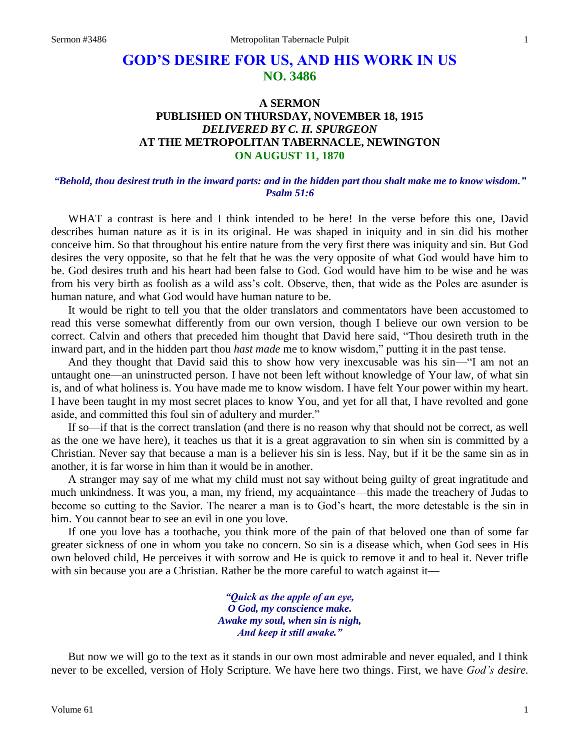# **GOD'S DESIRE FOR US, AND HIS WORK IN US NO. 3486**

## **A SERMON PUBLISHED ON THURSDAY, NOVEMBER 18, 1915** *DELIVERED BY C. H. SPURGEON* **AT THE METROPOLITAN TABERNACLE, NEWINGTON ON AUGUST 11, 1870**

#### *"Behold, thou desirest truth in the inward parts: and in the hidden part thou shalt make me to know wisdom." Psalm 51:6*

WHAT a contrast is here and I think intended to be here! In the verse before this one, David describes human nature as it is in its original. He was shaped in iniquity and in sin did his mother conceive him. So that throughout his entire nature from the very first there was iniquity and sin. But God desires the very opposite, so that he felt that he was the very opposite of what God would have him to be. God desires truth and his heart had been false to God. God would have him to be wise and he was from his very birth as foolish as a wild ass's colt. Observe, then, that wide as the Poles are asunder is human nature, and what God would have human nature to be.

It would be right to tell you that the older translators and commentators have been accustomed to read this verse somewhat differently from our own version, though I believe our own version to be correct. Calvin and others that preceded him thought that David here said, "Thou desireth truth in the inward part, and in the hidden part thou *hast made* me to know wisdom," putting it in the past tense.

And they thought that David said this to show how very inexcusable was his sin—"I am not an untaught one—an uninstructed person. I have not been left without knowledge of Your law, of what sin is, and of what holiness is. You have made me to know wisdom. I have felt Your power within my heart. I have been taught in my most secret places to know You, and yet for all that, I have revolted and gone aside, and committed this foul sin of adultery and murder."

If so—if that is the correct translation (and there is no reason why that should not be correct, as well as the one we have here), it teaches us that it is a great aggravation to sin when sin is committed by a Christian. Never say that because a man is a believer his sin is less. Nay, but if it be the same sin as in another, it is far worse in him than it would be in another.

A stranger may say of me what my child must not say without being guilty of great ingratitude and much unkindness. It was you, a man, my friend, my acquaintance—this made the treachery of Judas to become so cutting to the Savior. The nearer a man is to God's heart, the more detestable is the sin in him. You cannot bear to see an evil in one you love.

If one you love has a toothache, you think more of the pain of that beloved one than of some far greater sickness of one in whom you take no concern. So sin is a disease which, when God sees in His own beloved child, He perceives it with sorrow and He is quick to remove it and to heal it. Never trifle with sin because you are a Christian. Rather be the more careful to watch against it—

> *"Quick as the apple of an eye, O God, my conscience make. Awake my soul, when sin is nigh, And keep it still awake."*

But now we will go to the text as it stands in our own most admirable and never equaled, and I think never to be excelled, version of Holy Scripture. We have here two things. First, we have *God's desire.*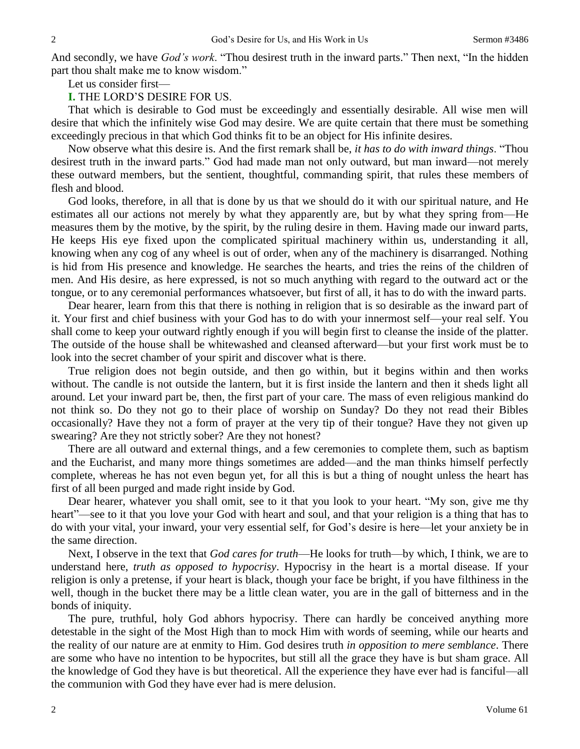And secondly, we have *God's work*. "Thou desirest truth in the inward parts." Then next, "In the hidden part thou shalt make me to know wisdom."

Let us consider first—

**I.** THE LORD'S DESIRE FOR US.

That which is desirable to God must be exceedingly and essentially desirable. All wise men will desire that which the infinitely wise God may desire. We are quite certain that there must be something exceedingly precious in that which God thinks fit to be an object for His infinite desires.

Now observe what this desire is. And the first remark shall be, *it has to do with inward things*. "Thou desirest truth in the inward parts." God had made man not only outward, but man inward—not merely these outward members, but the sentient, thoughtful, commanding spirit, that rules these members of flesh and blood.

God looks, therefore, in all that is done by us that we should do it with our spiritual nature, and He estimates all our actions not merely by what they apparently are, but by what they spring from—He measures them by the motive, by the spirit, by the ruling desire in them. Having made our inward parts, He keeps His eye fixed upon the complicated spiritual machinery within us, understanding it all, knowing when any cog of any wheel is out of order, when any of the machinery is disarranged. Nothing is hid from His presence and knowledge. He searches the hearts, and tries the reins of the children of men. And His desire, as here expressed, is not so much anything with regard to the outward act or the tongue, or to any ceremonial performances whatsoever, but first of all, it has to do with the inward parts.

Dear hearer, learn from this that there is nothing in religion that is so desirable as the inward part of it. Your first and chief business with your God has to do with your innermost self—your real self. You shall come to keep your outward rightly enough if you will begin first to cleanse the inside of the platter. The outside of the house shall be whitewashed and cleansed afterward—but your first work must be to look into the secret chamber of your spirit and discover what is there.

True religion does not begin outside, and then go within, but it begins within and then works without. The candle is not outside the lantern, but it is first inside the lantern and then it sheds light all around. Let your inward part be, then, the first part of your care. The mass of even religious mankind do not think so. Do they not go to their place of worship on Sunday? Do they not read their Bibles occasionally? Have they not a form of prayer at the very tip of their tongue? Have they not given up swearing? Are they not strictly sober? Are they not honest?

There are all outward and external things, and a few ceremonies to complete them, such as baptism and the Eucharist, and many more things sometimes are added—and the man thinks himself perfectly complete, whereas he has not even begun yet, for all this is but a thing of nought unless the heart has first of all been purged and made right inside by God.

Dear hearer, whatever you shall omit, see to it that you look to your heart. "My son, give me thy heart"—see to it that you love your God with heart and soul, and that your religion is a thing that has to do with your vital, your inward, your very essential self, for God's desire is here—let your anxiety be in the same direction.

Next, I observe in the text that *God cares for truth*—He looks for truth—by which, I think, we are to understand here, *truth as opposed to hypocrisy*. Hypocrisy in the heart is a mortal disease. If your religion is only a pretense, if your heart is black, though your face be bright, if you have filthiness in the well, though in the bucket there may be a little clean water, you are in the gall of bitterness and in the bonds of iniquity.

The pure, truthful, holy God abhors hypocrisy. There can hardly be conceived anything more detestable in the sight of the Most High than to mock Him with words of seeming, while our hearts and the reality of our nature are at enmity to Him. God desires truth *in opposition to mere semblance*. There are some who have no intention to be hypocrites, but still all the grace they have is but sham grace. All the knowledge of God they have is but theoretical. All the experience they have ever had is fanciful—all the communion with God they have ever had is mere delusion.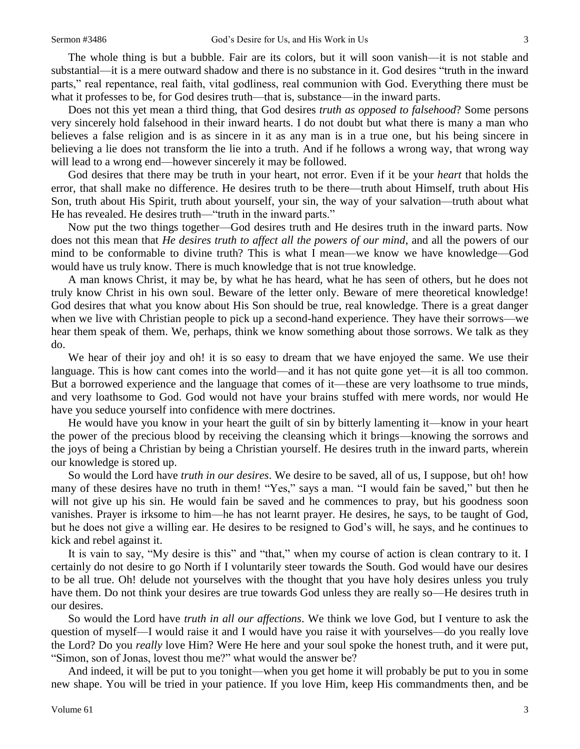The whole thing is but a bubble. Fair are its colors, but it will soon vanish—it is not stable and substantial—it is a mere outward shadow and there is no substance in it. God desires "truth in the inward parts," real repentance, real faith, vital godliness, real communion with God. Everything there must be what it professes to be, for God desires truth—that is, substance—in the inward parts.

Does not this yet mean a third thing, that God desires *truth as opposed to falsehood*? Some persons very sincerely hold falsehood in their inward hearts. I do not doubt but what there is many a man who believes a false religion and is as sincere in it as any man is in a true one, but his being sincere in believing a lie does not transform the lie into a truth. And if he follows a wrong way, that wrong way will lead to a wrong end—however sincerely it may be followed.

God desires that there may be truth in your heart, not error. Even if it be your *heart* that holds the error, that shall make no difference. He desires truth to be there—truth about Himself, truth about His Son, truth about His Spirit, truth about yourself, your sin, the way of your salvation—truth about what He has revealed. He desires truth—"truth in the inward parts."

Now put the two things together—God desires truth and He desires truth in the inward parts. Now does not this mean that *He desires truth to affect all the powers of our mind*, and all the powers of our mind to be conformable to divine truth? This is what I mean—we know we have knowledge—God would have us truly know. There is much knowledge that is not true knowledge.

A man knows Christ, it may be, by what he has heard, what he has seen of others, but he does not truly know Christ in his own soul. Beware of the letter only. Beware of mere theoretical knowledge! God desires that what you know about His Son should be true, real knowledge. There is a great danger when we live with Christian people to pick up a second-hand experience. They have their sorrows—we hear them speak of them. We, perhaps, think we know something about those sorrows. We talk as they do.

We hear of their joy and oh! it is so easy to dream that we have enjoyed the same. We use their language. This is how cant comes into the world—and it has not quite gone yet—it is all too common. But a borrowed experience and the language that comes of it—these are very loathsome to true minds, and very loathsome to God. God would not have your brains stuffed with mere words, nor would He have you seduce yourself into confidence with mere doctrines.

He would have you know in your heart the guilt of sin by bitterly lamenting it—know in your heart the power of the precious blood by receiving the cleansing which it brings—knowing the sorrows and the joys of being a Christian by being a Christian yourself. He desires truth in the inward parts, wherein our knowledge is stored up.

So would the Lord have *truth in our desires*. We desire to be saved, all of us, I suppose, but oh! how many of these desires have no truth in them! "Yes," says a man. "I would fain be saved," but then he will not give up his sin. He would fain be saved and he commences to pray, but his goodness soon vanishes. Prayer is irksome to him—he has not learnt prayer. He desires, he says, to be taught of God, but he does not give a willing ear. He desires to be resigned to God's will, he says, and he continues to kick and rebel against it.

It is vain to say, "My desire is this" and "that," when my course of action is clean contrary to it. I certainly do not desire to go North if I voluntarily steer towards the South. God would have our desires to be all true. Oh! delude not yourselves with the thought that you have holy desires unless you truly have them. Do not think your desires are true towards God unless they are really so—He desires truth in our desires.

So would the Lord have *truth in all our affections*. We think we love God, but I venture to ask the question of myself—I would raise it and I would have you raise it with yourselves—do you really love the Lord? Do you *really* love Him? Were He here and your soul spoke the honest truth, and it were put, "Simon, son of Jonas, lovest thou me?" what would the answer be?

And indeed, it will be put to you tonight—when you get home it will probably be put to you in some new shape. You will be tried in your patience. If you love Him, keep His commandments then, and be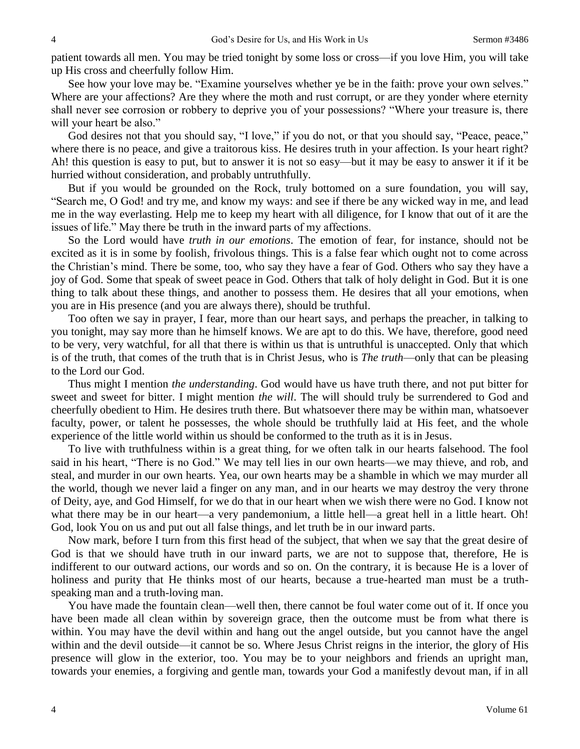patient towards all men. You may be tried tonight by some loss or cross—if you love Him, you will take up His cross and cheerfully follow Him.

See how your love may be. "Examine yourselves whether ye be in the faith: prove your own selves." Where are your affections? Are they where the moth and rust corrupt, or are they yonder where eternity shall never see corrosion or robbery to deprive you of your possessions? "Where your treasure is, there will your heart be also."

God desires not that you should say, "I love," if you do not, or that you should say, "Peace, peace," where there is no peace, and give a traitorous kiss. He desires truth in your affection. Is your heart right? Ah! this question is easy to put, but to answer it is not so easy—but it may be easy to answer it if it be hurried without consideration, and probably untruthfully.

But if you would be grounded on the Rock, truly bottomed on a sure foundation, you will say, "Search me, O God! and try me, and know my ways: and see if there be any wicked way in me, and lead me in the way everlasting. Help me to keep my heart with all diligence, for I know that out of it are the issues of life." May there be truth in the inward parts of my affections.

So the Lord would have *truth in our emotions*. The emotion of fear, for instance, should not be excited as it is in some by foolish, frivolous things. This is a false fear which ought not to come across the Christian's mind. There be some, too, who say they have a fear of God. Others who say they have a joy of God. Some that speak of sweet peace in God. Others that talk of holy delight in God. But it is one thing to talk about these things, and another to possess them. He desires that all your emotions, when you are in His presence (and you are always there), should be truthful.

Too often we say in prayer, I fear, more than our heart says, and perhaps the preacher, in talking to you tonight, may say more than he himself knows. We are apt to do this. We have, therefore, good need to be very, very watchful, for all that there is within us that is untruthful is unaccepted. Only that which is of the truth, that comes of the truth that is in Christ Jesus, who is *The truth*—only that can be pleasing to the Lord our God.

Thus might I mention *the understanding*. God would have us have truth there, and not put bitter for sweet and sweet for bitter. I might mention *the will*. The will should truly be surrendered to God and cheerfully obedient to Him. He desires truth there. But whatsoever there may be within man, whatsoever faculty, power, or talent he possesses, the whole should be truthfully laid at His feet, and the whole experience of the little world within us should be conformed to the truth as it is in Jesus.

To live with truthfulness within is a great thing, for we often talk in our hearts falsehood. The fool said in his heart, "There is no God." We may tell lies in our own hearts—we may thieve, and rob, and steal, and murder in our own hearts. Yea, our own hearts may be a shamble in which we may murder all the world, though we never laid a finger on any man, and in our hearts we may destroy the very throne of Deity, aye, and God Himself, for we do that in our heart when we wish there were no God. I know not what there may be in our heart—a very pandemonium, a little hell—a great hell in a little heart. Oh! God, look You on us and put out all false things, and let truth be in our inward parts.

Now mark, before I turn from this first head of the subject, that when we say that the great desire of God is that we should have truth in our inward parts, we are not to suppose that, therefore, He is indifferent to our outward actions, our words and so on. On the contrary, it is because He is a lover of holiness and purity that He thinks most of our hearts, because a true-hearted man must be a truthspeaking man and a truth-loving man.

You have made the fountain clean—well then, there cannot be foul water come out of it. If once you have been made all clean within by sovereign grace, then the outcome must be from what there is within. You may have the devil within and hang out the angel outside, but you cannot have the angel within and the devil outside—it cannot be so. Where Jesus Christ reigns in the interior, the glory of His presence will glow in the exterior, too. You may be to your neighbors and friends an upright man, towards your enemies, a forgiving and gentle man, towards your God a manifestly devout man, if in all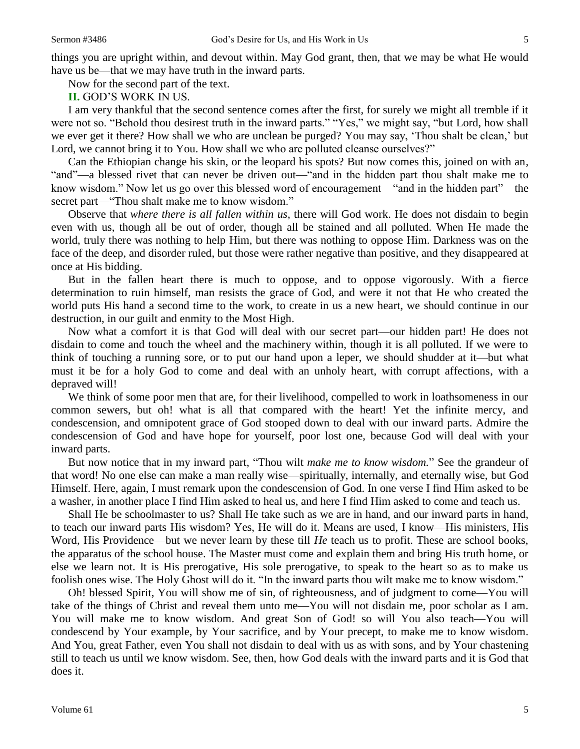things you are upright within, and devout within. May God grant, then, that we may be what He would have us be—that we may have truth in the inward parts.

Now for the second part of the text.

**II.** GOD'S WORK IN US.

I am very thankful that the second sentence comes after the first, for surely we might all tremble if it were not so. "Behold thou desirest truth in the inward parts." "Yes," we might say, "but Lord, how shall we ever get it there? How shall we who are unclean be purged? You may say, 'Thou shalt be clean,' but Lord, we cannot bring it to You. How shall we who are polluted cleanse ourselves?"

Can the Ethiopian change his skin, or the leopard his spots? But now comes this, joined on with an, "and"—a blessed rivet that can never be driven out—"and in the hidden part thou shalt make me to know wisdom." Now let us go over this blessed word of encouragement—"and in the hidden part"—the secret part—"Thou shalt make me to know wisdom."

Observe that *where there is all fallen within us*, there will God work. He does not disdain to begin even with us, though all be out of order, though all be stained and all polluted. When He made the world, truly there was nothing to help Him, but there was nothing to oppose Him. Darkness was on the face of the deep, and disorder ruled, but those were rather negative than positive, and they disappeared at once at His bidding.

But in the fallen heart there is much to oppose, and to oppose vigorously. With a fierce determination to ruin himself, man resists the grace of God, and were it not that He who created the world puts His hand a second time to the work, to create in us a new heart, we should continue in our destruction, in our guilt and enmity to the Most High.

Now what a comfort it is that God will deal with our secret part—our hidden part! He does not disdain to come and touch the wheel and the machinery within, though it is all polluted. If we were to think of touching a running sore, or to put our hand upon a leper, we should shudder at it—but what must it be for a holy God to come and deal with an unholy heart, with corrupt affections, with a depraved will!

We think of some poor men that are, for their livelihood, compelled to work in loathsomeness in our common sewers, but oh! what is all that compared with the heart! Yet the infinite mercy, and condescension, and omnipotent grace of God stooped down to deal with our inward parts. Admire the condescension of God and have hope for yourself, poor lost one, because God will deal with your inward parts.

But now notice that in my inward part, "Thou wilt *make me to know wisdom.*" See the grandeur of that word! No one else can make a man really wise—spiritually, internally, and eternally wise, but God Himself. Here, again, I must remark upon the condescension of God. In one verse I find Him asked to be a washer, in another place I find Him asked to heal us, and here I find Him asked to come and teach us.

Shall He be schoolmaster to us? Shall He take such as we are in hand, and our inward parts in hand, to teach our inward parts His wisdom? Yes, He will do it. Means are used, I know—His ministers, His Word, His Providence—but we never learn by these till *He* teach us to profit. These are school books, the apparatus of the school house. The Master must come and explain them and bring His truth home, or else we learn not. It is His prerogative, His sole prerogative, to speak to the heart so as to make us foolish ones wise. The Holy Ghost will do it. "In the inward parts thou wilt make me to know wisdom."

Oh! blessed Spirit, You will show me of sin, of righteousness, and of judgment to come—You will take of the things of Christ and reveal them unto me—You will not disdain me, poor scholar as I am. You will make me to know wisdom. And great Son of God! so will You also teach—You will condescend by Your example, by Your sacrifice, and by Your precept, to make me to know wisdom. And You, great Father, even You shall not disdain to deal with us as with sons, and by Your chastening still to teach us until we know wisdom. See, then, how God deals with the inward parts and it is God that does it.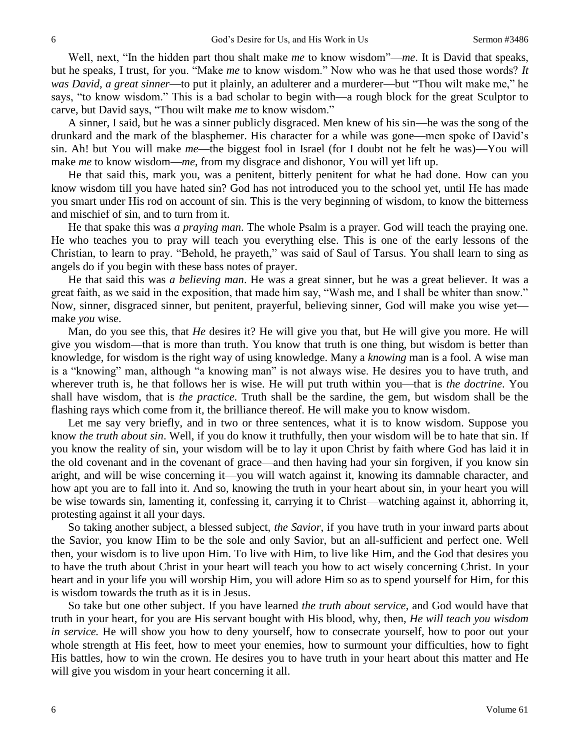Well, next, "In the hidden part thou shalt make *me* to know wisdom"—*me*. It is David that speaks, but he speaks, I trust, for you. "Make *me* to know wisdom." Now who was he that used those words? *It was David, a great sinner*—to put it plainly, an adulterer and a murderer—but "Thou wilt make me," he says, "to know wisdom." This is a bad scholar to begin with—a rough block for the great Sculptor to carve, but David says, "Thou wilt make *me* to know wisdom."

A sinner, I said, but he was a sinner publicly disgraced. Men knew of his sin—he was the song of the drunkard and the mark of the blasphemer. His character for a while was gone—men spoke of David's sin. Ah! but You will make *me*—the biggest fool in Israel (for I doubt not he felt he was)—You will make *me* to know wisdom—*me*, from my disgrace and dishonor, You will yet lift up.

He that said this, mark you, was a penitent, bitterly penitent for what he had done. How can you know wisdom till you have hated sin? God has not introduced you to the school yet, until He has made you smart under His rod on account of sin. This is the very beginning of wisdom, to know the bitterness and mischief of sin, and to turn from it.

He that spake this was *a praying man*. The whole Psalm is a prayer. God will teach the praying one. He who teaches you to pray will teach you everything else. This is one of the early lessons of the Christian, to learn to pray. "Behold, he prayeth," was said of Saul of Tarsus. You shall learn to sing as angels do if you begin with these bass notes of prayer.

He that said this was *a believing man*. He was a great sinner, but he was a great believer. It was a great faith, as we said in the exposition, that made him say, "Wash me, and I shall be whiter than snow." Now, sinner, disgraced sinner, but penitent, prayerful, believing sinner, God will make you wise yet make *you* wise.

Man, do you see this, that *He* desires it? He will give you that, but He will give you more. He will give you wisdom—that is more than truth. You know that truth is one thing, but wisdom is better than knowledge, for wisdom is the right way of using knowledge. Many a *knowing* man is a fool. A wise man is a "knowing" man, although "a knowing man" is not always wise. He desires you to have truth, and wherever truth is, he that follows her is wise. He will put truth within you—that is *the doctrine*. You shall have wisdom, that is *the practice*. Truth shall be the sardine, the gem, but wisdom shall be the flashing rays which come from it, the brilliance thereof. He will make you to know wisdom.

Let me say very briefly, and in two or three sentences, what it is to know wisdom. Suppose you know *the truth about sin*. Well, if you do know it truthfully, then your wisdom will be to hate that sin. If you know the reality of sin, your wisdom will be to lay it upon Christ by faith where God has laid it in the old covenant and in the covenant of grace—and then having had your sin forgiven, if you know sin aright, and will be wise concerning it—you will watch against it, knowing its damnable character, and how apt you are to fall into it. And so, knowing the truth in your heart about sin, in your heart you will be wise towards sin, lamenting it, confessing it, carrying it to Christ—watching against it, abhorring it, protesting against it all your days.

So taking another subject, a blessed subject, *the Savior*, if you have truth in your inward parts about the Savior, you know Him to be the sole and only Savior, but an all-sufficient and perfect one. Well then, your wisdom is to live upon Him. To live with Him, to live like Him, and the God that desires you to have the truth about Christ in your heart will teach you how to act wisely concerning Christ. In your heart and in your life you will worship Him, you will adore Him so as to spend yourself for Him, for this is wisdom towards the truth as it is in Jesus.

So take but one other subject. If you have learned *the truth about service*, and God would have that truth in your heart, for you are His servant bought with His blood, why, then, *He will teach you wisdom in service.* He will show you how to deny yourself, how to consecrate yourself, how to poor out your whole strength at His feet, how to meet your enemies, how to surmount your difficulties, how to fight His battles, how to win the crown. He desires you to have truth in your heart about this matter and He will give you wisdom in your heart concerning it all.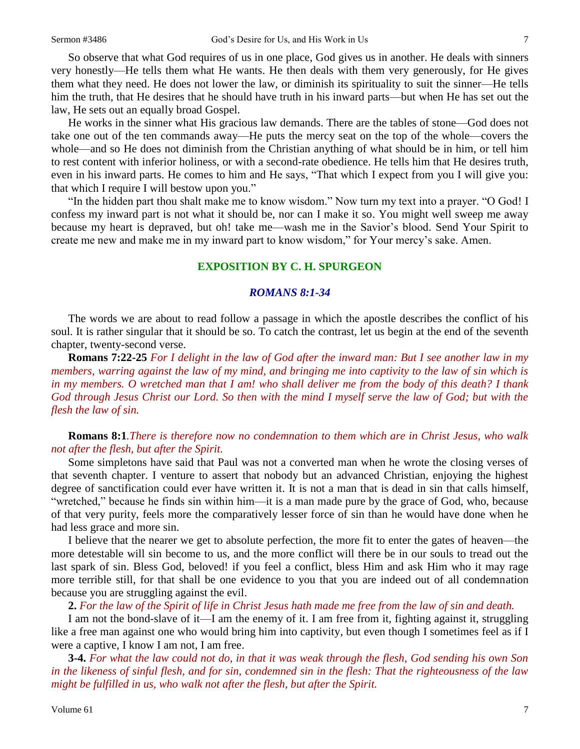So observe that what God requires of us in one place, God gives us in another. He deals with sinners very honestly—He tells them what He wants. He then deals with them very generously, for He gives them what they need. He does not lower the law, or diminish its spirituality to suit the sinner—He tells him the truth, that He desires that he should have truth in his inward parts—but when He has set out the law, He sets out an equally broad Gospel.

He works in the sinner what His gracious law demands. There are the tables of stone—God does not take one out of the ten commands away—He puts the mercy seat on the top of the whole—covers the whole—and so He does not diminish from the Christian anything of what should be in him, or tell him to rest content with inferior holiness, or with a second-rate obedience. He tells him that He desires truth, even in his inward parts. He comes to him and He says, "That which I expect from you I will give you: that which I require I will bestow upon you."

"In the hidden part thou shalt make me to know wisdom." Now turn my text into a prayer. "O God! I confess my inward part is not what it should be, nor can I make it so. You might well sweep me away because my heart is depraved, but oh! take me—wash me in the Savior's blood. Send Your Spirit to create me new and make me in my inward part to know wisdom," for Your mercy's sake. Amen.

## **EXPOSITION BY C. H. SPURGEON**

#### *ROMANS 8:1-34*

The words we are about to read follow a passage in which the apostle describes the conflict of his soul. It is rather singular that it should be so. To catch the contrast, let us begin at the end of the seventh chapter, twenty-second verse.

**Romans 7:22-25** *For I delight in the law of God after the inward man: But I see another law in my members, warring against the law of my mind, and bringing me into captivity to the law of sin which is in my members. O wretched man that I am! who shall deliver me from the body of this death? I thank God through Jesus Christ our Lord. So then with the mind I myself serve the law of God; but with the flesh the law of sin.*

## **Romans 8:1***.There is therefore now no condemnation to them which are in Christ Jesus, who walk not after the flesh, but after the Spirit.*

Some simpletons have said that Paul was not a converted man when he wrote the closing verses of that seventh chapter. I venture to assert that nobody but an advanced Christian, enjoying the highest degree of sanctification could ever have written it. It is not a man that is dead in sin that calls himself, "wretched," because he finds sin within him—it is a man made pure by the grace of God, who, because of that very purity, feels more the comparatively lesser force of sin than he would have done when he had less grace and more sin.

I believe that the nearer we get to absolute perfection, the more fit to enter the gates of heaven—the more detestable will sin become to us, and the more conflict will there be in our souls to tread out the last spark of sin. Bless God, beloved! if you feel a conflict, bless Him and ask Him who it may rage more terrible still, for that shall be one evidence to you that you are indeed out of all condemnation because you are struggling against the evil.

**2.** *For the law of the Spirit of life in Christ Jesus hath made me free from the law of sin and death.* 

I am not the bond-slave of it—I am the enemy of it. I am free from it, fighting against it, struggling like a free man against one who would bring him into captivity, but even though I sometimes feel as if I were a captive, I know I am not, I am free.

**3-4.** *For what the law could not do, in that it was weak through the flesh, God sending his own Son in the likeness of sinful flesh, and for sin, condemned sin in the flesh: That the righteousness of the law might be fulfilled in us, who walk not after the flesh, but after the Spirit.*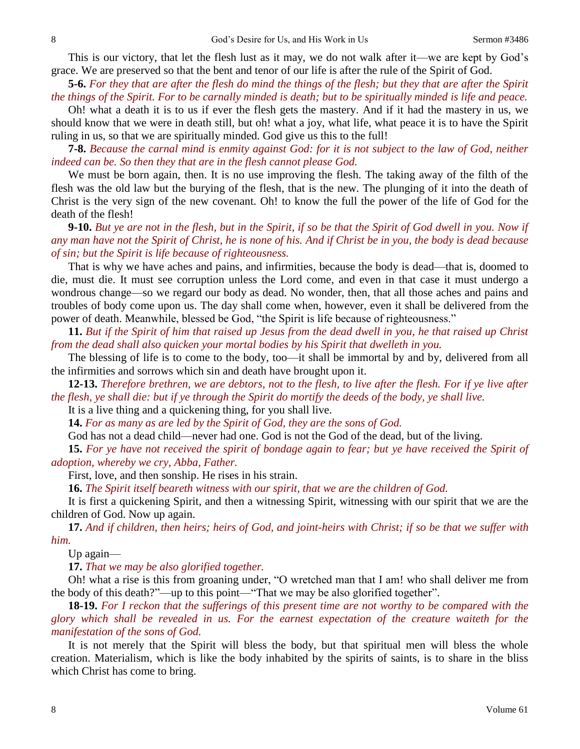This is our victory, that let the flesh lust as it may, we do not walk after it—we are kept by God's grace. We are preserved so that the bent and tenor of our life is after the rule of the Spirit of God.

**5-6.** *For they that are after the flesh do mind the things of the flesh; but they that are after the Spirit the things of the Spirit. For to be carnally minded is death; but to be spiritually minded is life and peace.*

Oh! what a death it is to us if ever the flesh gets the mastery. And if it had the mastery in us, we should know that we were in death still, but oh! what a joy, what life, what peace it is to have the Spirit ruling in us, so that we are spiritually minded. God give us this to the full!

**7-8.** *Because the carnal mind is enmity against God: for it is not subject to the law of God, neither indeed can be. So then they that are in the flesh cannot please God.*

We must be born again, then. It is no use improving the flesh. The taking away of the filth of the flesh was the old law but the burying of the flesh, that is the new. The plunging of it into the death of Christ is the very sign of the new covenant. Oh! to know the full the power of the life of God for the death of the flesh!

**9-10.** *But ye are not in the flesh, but in the Spirit, if so be that the Spirit of God dwell in you. Now if any man have not the Spirit of Christ, he is none of his. And if Christ be in you, the body is dead because of sin; but the Spirit is life because of righteousness.*

That is why we have aches and pains, and infirmities, because the body is dead—that is, doomed to die, must die. It must see corruption unless the Lord come, and even in that case it must undergo a wondrous change—so we regard our body as dead. No wonder, then, that all those aches and pains and troubles of body come upon us. The day shall come when, however, even it shall be delivered from the power of death. Meanwhile, blessed be God, "the Spirit is life because of righteousness."

**11.** *But if the Spirit of him that raised up Jesus from the dead dwell in you, he that raised up Christ from the dead shall also quicken your mortal bodies by his Spirit that dwelleth in you.*

The blessing of life is to come to the body, too—it shall be immortal by and by, delivered from all the infirmities and sorrows which sin and death have brought upon it.

**12-13.** *Therefore brethren, we are debtors, not to the flesh, to live after the flesh. For if ye live after the flesh, ye shall die: but if ye through the Spirit do mortify the deeds of the body, ye shall live.*

It is a live thing and a quickening thing, for you shall live.

**14.** *For as many as are led by the Spirit of God, they are the sons of God.* 

God has not a dead child—never had one. God is not the God of the dead, but of the living.

**15.** *For ye have not received the spirit of bondage again to fear; but ye have received the Spirit of adoption, whereby we cry, Abba, Father.* 

First, love, and then sonship. He rises in his strain.

**16.** *The Spirit itself beareth witness with our spirit, that we are the children of God.* 

It is first a quickening Spirit, and then a witnessing Spirit, witnessing with our spirit that we are the children of God. Now up again.

**17.** *And if children, then heirs; heirs of God, and joint-heirs with Christ; if so be that we suffer with him.*

Up again—

**17.** *That we may be also glorified together.* 

Oh! what a rise is this from groaning under, "O wretched man that I am! who shall deliver me from the body of this death?"—up to this point—"That we may be also glorified together".

**18-19.** *For I reckon that the sufferings of this present time are not worthy to be compared with the glory which shall be revealed in us. For the earnest expectation of the creature waiteth for the manifestation of the sons of God.*

It is not merely that the Spirit will bless the body, but that spiritual men will bless the whole creation. Materialism, which is like the body inhabited by the spirits of saints, is to share in the bliss which Christ has come to bring.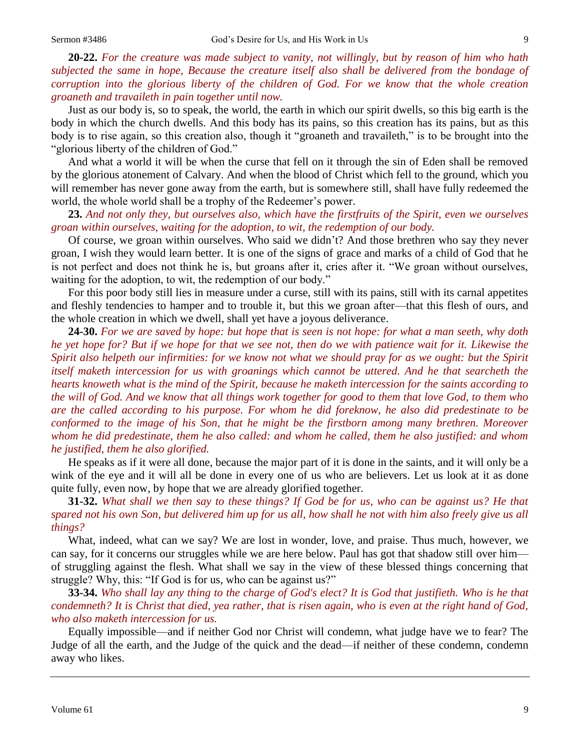**20-22.** *For the creature was made subject to vanity, not willingly, but by reason of him who hath subjected the same in hope, Because the creature itself also shall be delivered from the bondage of corruption into the glorious liberty of the children of God. For we know that the whole creation groaneth and travaileth in pain together until now.*

Just as our body is, so to speak, the world, the earth in which our spirit dwells, so this big earth is the body in which the church dwells. And this body has its pains, so this creation has its pains, but as this body is to rise again, so this creation also, though it "groaneth and travaileth," is to be brought into the "glorious liberty of the children of God."

And what a world it will be when the curse that fell on it through the sin of Eden shall be removed by the glorious atonement of Calvary. And when the blood of Christ which fell to the ground, which you will remember has never gone away from the earth, but is somewhere still, shall have fully redeemed the world, the whole world shall be a trophy of the Redeemer's power.

**23.** *And not only they, but ourselves also, which have the firstfruits of the Spirit, even we ourselves groan within ourselves, waiting for the adoption, to wit, the redemption of our body.*

Of course, we groan within ourselves. Who said we didn't? And those brethren who say they never groan, I wish they would learn better. It is one of the signs of grace and marks of a child of God that he is not perfect and does not think he is, but groans after it, cries after it. "We groan without ourselves, waiting for the adoption, to wit, the redemption of our body."

For this poor body still lies in measure under a curse, still with its pains, still with its carnal appetites and fleshly tendencies to hamper and to trouble it, but this we groan after—that this flesh of ours, and the whole creation in which we dwell, shall yet have a joyous deliverance.

**24-30.** *For we are saved by hope: but hope that is seen is not hope: for what a man seeth, why doth he yet hope for? But if we hope for that we see not, then do we with patience wait for it. Likewise the Spirit also helpeth our infirmities: for we know not what we should pray for as we ought: but the Spirit itself maketh intercession for us with groanings which cannot be uttered. And he that searcheth the hearts knoweth what is the mind of the Spirit, because he maketh intercession for the saints according to the will of God. And we know that all things work together for good to them that love God, to them who are the called according to his purpose. For whom he did foreknow, he also did predestinate to be conformed to the image of his Son, that he might be the firstborn among many brethren. Moreover whom he did predestinate, them he also called: and whom he called, them he also justified: and whom he justified, them he also glorified.*

He speaks as if it were all done, because the major part of it is done in the saints, and it will only be a wink of the eye and it will all be done in every one of us who are believers. Let us look at it as done quite fully, even now, by hope that we are already glorified together.

**31-32.** *What shall we then say to these things? If God be for us, who can be against us? He that spared not his own Son, but delivered him up for us all, how shall he not with him also freely give us all things?*

What, indeed, what can we say? We are lost in wonder, love, and praise. Thus much, however, we can say, for it concerns our struggles while we are here below. Paul has got that shadow still over him of struggling against the flesh. What shall we say in the view of these blessed things concerning that struggle? Why, this: "If God is for us, who can be against us?"

**33-34.** *Who shall lay any thing to the charge of God's elect? It is God that justifieth. Who is he that condemneth? It is Christ that died, yea rather, that is risen again, who is even at the right hand of God, who also maketh intercession for us.*

Equally impossible—and if neither God nor Christ will condemn, what judge have we to fear? The Judge of all the earth, and the Judge of the quick and the dead—if neither of these condemn, condemn away who likes.